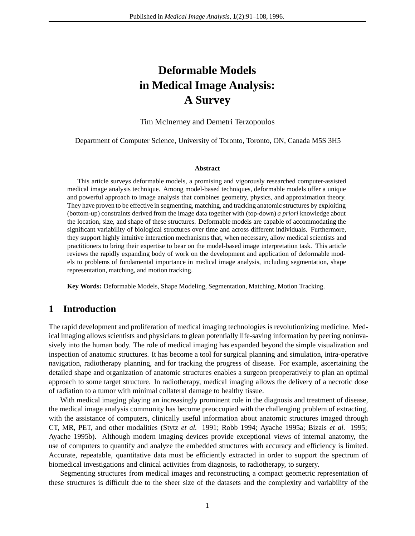# **Deformable Models in Medical Image Analysis: A Survey**

Tim McInerney and Demetri Terzopoulos

Department of Computer Science, University of Toronto, Toronto, ON, Canada M5S 3H5

#### **Abstract**

This article surveys deformable models, a promising and vigorously researched computer-assisted medical image analysis technique. Among model-based techniques, deformable models offer a unique and powerful approach to image analysis that combines geometry, physics, and approximation theory. They have proven to be effective in segmenting, matching, and tracking anatomic structures by exploiting (bottom-up) constraints derived from the image data together with (top-down) *a priori* knowledge about the location, size, and shape of these structures. Deformable models are capable of accommodating the significant variability of biological structures over time and across different individuals. Furthermore, they support highly intuitive interaction mechanisms that, when necessary, allow medical scientists and practitioners to bring their expertise to bear on the model-based image interpretation task. This article reviews the rapidly expanding body of work on the development and application of deformable models to problems of fundamental importance in medical image analysis, including segmentation, shape representation, matching, and motion tracking.

**Key Words:** Deformable Models, Shape Modeling, Segmentation, Matching, Motion Tracking.

# **1 Introduction**

The rapid development and proliferation of medical imaging technologies is revolutionizing medicine. Medical imaging allows scientists and physicians to glean potentially life-saving information by peering noninvasively into the human body. The role of medical imaging has expanded beyond the simple visualization and inspection of anatomic structures. It has become a tool for surgical planning and simulation, intra-operative navigation, radiotherapy planning, and for tracking the progress of disease. For example, ascertaining the detailed shape and organization of anatomic structures enables a surgeon preoperatively to plan an optimal approach to some target structure. In radiotherapy, medical imaging allows the delivery of a necrotic dose of radiation to a tumor with minimal collateral damage to healthy tissue.

With medical imaging playing an increasingly prominent role in the diagnosis and treatment of disease, the medical image analysis community has become preoccupied with the challenging problem of extracting, with the assistance of computers, clinically useful information about anatomic structures imaged through CT, MR, PET, and other modalities (Stytz *et al.* 1991; Robb 1994; Ayache 1995a; Bizais *et al.* 1995; Ayache 1995b). Although modern imaging devices provide exceptional views of internal anatomy, the use of computers to quantify and analyze the embedded structures with accuracy and efficiency is limited. Accurate, repeatable, quantitative data must be efficiently extracted in order to support the spectrum of biomedical investigations and clinical activities from diagnosis, to radiotherapy, to surgery.

Segmenting structures from medical images and reconstructing a compact geometric representation of these structures is difficult due to the sheer size of the datasets and the complexity and variability of the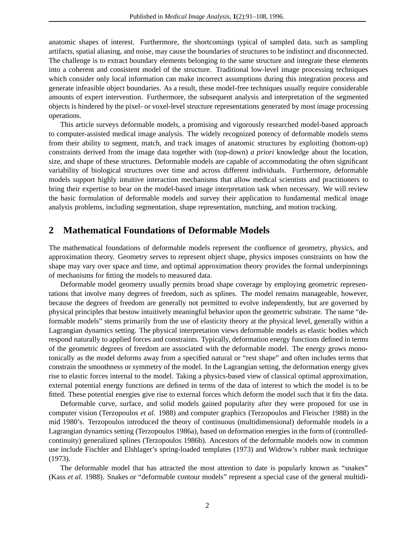anatomic shapes of interest. Furthermore, the shortcomings typical of sampled data, such as sampling artifacts, spatial aliasing, and noise, may cause the boundaries of structures to be indistinct and disconnected. The challenge is to extract boundary elements belonging to the same structure and integrate these elements into a coherent and consistent model of the structure. Traditional low-level image processing techniques which consider only local information can make incorrect assumptions during this integration process and generate infeasible object boundaries. As a result, these model-free techniques usually require considerable amounts of expert intervention. Furthermore, the subsequent analysis and interpretation of the segmented objects is hindered by the pixel- or voxel-level structure representations generated by most image processing operations.

This article surveys deformable models, a promising and vigorously researched model-based approach to computer-assisted medical image analysis. The widely recognized potency of deformable models stems from their ability to segment, match, and track images of anatomic structures by exploiting (bottom-up) constraints derived from the image data together with (top-down) *a priori* knowledge about the location, size, and shape of these structures. Deformable models are capable of accommodating the often significant variability of biological structures over time and across different individuals. Furthermore, deformable models support highly intuitive interaction mechanisms that allow medical scientists and practitioners to bring their expertise to bear on the model-based image interpretation task when necessary. We will review the basic formulation of deformable models and survey their application to fundamental medical image analysis problems, including segmentation, shape representation, matching, and motion tracking.

# **2 Mathematical Foundations of Deformable Models**

The mathematical foundations of deformable models represent the confluence of geometry, physics, and approximation theory. Geometry serves to represent object shape, physics imposes constraints on how the shape may vary over space and time, and optimal approximation theory provides the formal underpinnings of mechanisms for fitting the models to measured data.

Deformable model geometry usually permits broad shape coverage by employing geometric representations that involve many degrees of freedom, such as splines. The model remains manageable, however, because the degrees of freedom are generally not permitted to evolve independently, but are governed by physical principles that bestow intuitively meaningful behavior upon the geometric substrate. The name "deformable models" stems primarily from the use of elasticity theory at the physical level, generally within a Lagrangian dynamics setting. The physical interpretation views deformable models as elastic bodies which respond naturally to applied forces and constraints. Typically, deformation energy functions defined in terms of the geometric degrees of freedom are associated with the deformable model. The energy grows monotonically as the model deforms away from a specified natural or "rest shape" and often includes terms that constrain the smoothness or symmetry of the model. In the Lagrangian setting, the deformation energy gives rise to elastic forces internal to the model. Taking a physics-based view of classical optimal approximation, external potential energy functions are defined in terms of the data of interest to which the model is to be fitted. These potential energies give rise to external forces which deform the model such that it fits the data.

Deformable curve, surface, and solid models gained popularity after they were proposed for use in computer vision (Terzopoulos *et al.* 1988) and computer graphics (Terzopoulos and Fleischer 1988) in the mid 1980's. Terzopoulos introduced the theory of continuous (multidimensional) deformable models in a Lagrangian dynamics setting (Terzopoulos 1986a), based on deformation energies in the form of (controlledcontinuity) generalized splines (Terzopoulos 1986b). Ancestors of the deformable models now in common use include Fischler and Elshlager's spring-loaded templates (1973) and Widrow's rubber mask technique (1973).

The deformable model that has attracted the most attention to date is popularly known as "snakes" (Kass *et al.* 1988). Snakes or "deformable contour models" represent a special case of the general multidi-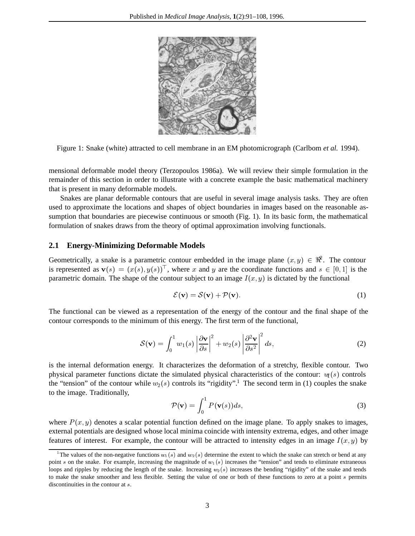

Figure 1: Snake (white) attracted to cell membrane in an EM photomicrograph (Carlbom *et al.* 1994).

mensional deformable model theory (Terzopoulos 1986a). We will review their simple formulation in the remainder of this section in order to illustrate with a concrete example the basic mathematical machinery that is present in many deformable models.

Snakes are planar deformable contours that are useful in several image analysis tasks. They are often used to approximate the locations and shapes of object boundaries in images based on the reasonable assumption that boundaries are piecewise continuous or smooth (Fig. 1). In its basic form, the mathematical formulation of snakes draws from the theory of optimal approximation involving functionals.

### **2.1 Energy-Minimizing Deformable Models**

Geometrically, a snake is a parametric contour embedded in the image plane  $(x, y) \in \mathbb{R}^2$ . The contour is represented as  $\mathbf{v}(s) = (x(s), y(s))^{\dagger}$ , where x and y are the coordinate functions and  $s \in [0, 1]$  is the parametric domain. The shape of the contour subject to an image  $I(x, y)$  is dictated by the functional

$$
\mathcal{E}(\mathbf{v}) = \mathcal{S}(\mathbf{v}) + \mathcal{P}(\mathbf{v}).\tag{1}
$$

The functional can be viewed as a representation of the energy of the contour and the final shape of the contour corresponds to the minimum of this energy. The first term of the functional,

$$
\mathcal{S}(\mathbf{v}) = \int_0^1 w_1(s) \left| \frac{\partial \mathbf{v}}{\partial s} \right|^2 + w_2(s) \left| \frac{\partial^2 \mathbf{v}}{\partial s^2} \right|^2 ds, \tag{2}
$$

is the internal deformation energy. It characterizes the deformation of a stretchy, flexible contour. Two physical parameter functions dictate the simulated physical characteristics of the contour:  $w(s)$  controls the "tension" of the contour while  $w_2(s)$  controls its "rigidity".<sup>1</sup> The second term in (1) couples the snake to the image. Traditionally,

$$
\mathcal{P}(\mathbf{v}) = \int_0^1 P(\mathbf{v}(s))ds,\tag{3}
$$

where  $P(x, y)$  denotes a scalar potential function defined on the image plane. To apply snakes to images, external potentials are designed whose local minima coincide with intensity extrema, edges, and other image features of interest. For example, the contour will be attracted to intensity edges in an image  $I(x, y)$  by

The values of the non-negative functions  $w_1(s)$  and  $w_2(s)$  determine the extent to which the snake can stretch or bend at any point s on the snake. For example, increasing the magnitude of  $w_1(s)$  increases the "tension" and tends to eliminate extraneous loops and ripples by reducing the length of the snake. Increasing  $w_2(s)$  increases the bending "rigidity" of the snake and tends to make the snake smoother and less flexible. Setting the value of one or both of these functions to zero at a point <sup>s</sup> permits discontinuities in the contour at <sup>s</sup>.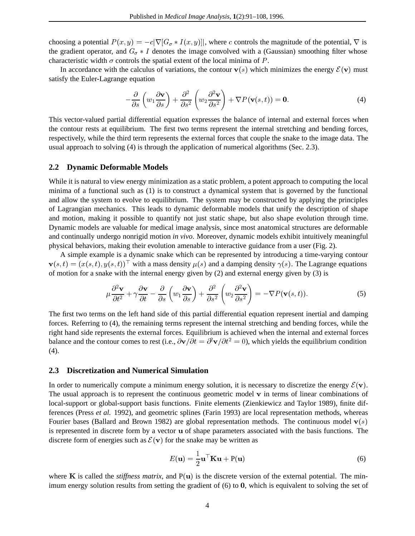choosing a potential  $P(x, y) = -c|\nabla [G_{\sigma} * I(x, y)]|$ , where c controls the magnitude of the potential,  $\nabla$  is the gradient operator, and  $G_{\sigma} * I$  denotes the image convolved with a (Gaussian) smoothing filter whose characteristic width  $\sigma$  controls the spatial extent of the local minima of  $P$ .

In accordance with the calculus of variations, the contour  $\mathbf{v}(s)$  which minimizes the energy  $\mathcal{E}(\mathbf{v})$  must satisfy the Euler-Lagrange equation

$$
-\frac{\partial}{\partial s}\left(w_1\frac{\partial \mathbf{v}}{\partial s}\right) + \frac{\partial^2}{\partial s^2}\left(w_2\frac{\partial^2 \mathbf{v}}{\partial s^2}\right) + \nabla P(\mathbf{v}(s,t)) = \mathbf{0}.\tag{4}
$$

This vector-valued partial differential equation expresses the balance of internal and external forces when the contour rests at equilibrium. The first two terms represent the internal stretching and bending forces, respectively, while the third term represents the external forces that couple the snake to the image data. The usual approach to solving (4) is through the application of numerical algorithms (Sec. 2.3).

### **2.2 Dynamic Deformable Models**

While it is natural to view energy minimization as a static problem, a potent approach to computing the local minima of a functional such as (1) is to construct a dynamical system that is governed by the functional and allow the system to evolve to equilibrium. The system may be constructed by applying the principles of Lagrangian mechanics. This leads to dynamic deformable models that unify the description of shape and motion, making it possible to quantify not just static shape, but also shape evolution through time. Dynamic models are valuable for medical image analysis, since most anatomical structures are deformable and continually undergo nonrigid motion *in vivo*. Moreover, dynamic models exhibit intuitively meaningful physical behaviors, making their evolution amenable to interactive guidance from a user (Fig. 2).

A simple example is a dynamic snake which can be represented by introducing a time-varying contour  $\mathbf{v}(s, t) = (x(s, t), y(s, t))^{\top}$  with a mass density  $\mu(s)$  and a damping density  $\gamma(s)$ . The Lagrange equations of motion for a snake with the internal energy given by  $(2)$  and external energy given by  $(3)$  is

$$
\mu \frac{\partial^2 \mathbf{v}}{\partial t^2} + \gamma \frac{\partial \mathbf{v}}{\partial t} - \frac{\partial}{\partial s} \left( w_1 \frac{\partial \mathbf{v}}{\partial s} \right) + \frac{\partial^2}{\partial s^2} \left( w_2 \frac{\partial^2 \mathbf{v}}{\partial s^2} \right) = -\nabla P(\mathbf{v}(s, t)).
$$
\n(5)

The first two terms on the left hand side of this partial differential equation represent inertial and damping forces. Referring to (4), the remaining terms represent the internal stretching and bending forces, while the right hand side represents the external forces. Equilibrium is achieved when the internal and external forces balance and the contour comes to rest (i.e.,  $\partial \mathbf{v}/\partial t = \partial^2 \mathbf{v}/\partial t^2 = 0$ ), which yields the equilibrium condition (4).

### **2.3 Discretization and Numerical Simulation**

In order to numerically compute a minimum energy solution, it is necessary to discretize the energy  $\mathcal{E}(v)$ . The usual approach is to represent the continuous geometric model  $\bf{v}$  in terms of linear combinations of local-support or global-support basis functions. Finite elements (Zienkiewicz and Taylor 1989), finite differences (Press *et al.* 1992), and geometric splines (Farin 1993) are local representation methods, whereas Fourier bases (Ballard and Brown 1982) are global representation methods. The continuous model  $\mathbf{v}(s)$ is represented in discrete form by a vector <sup>u</sup> of shape parameters associated with the basis functions. The discrete form of energies such as  $\mathcal{E}(v)$  for the snake may be written as

$$
E(\mathbf{u}) = \frac{1}{2}\mathbf{u}^\top \mathbf{K} \mathbf{u} + P(\mathbf{u})
$$
 (6)

where K is called the *stiffness matrix*, and  $P(u)$  is the discrete version of the external potential. The minimum energy solution results from setting the gradient of (6) to <sup>0</sup>, which is equivalent to solving the set of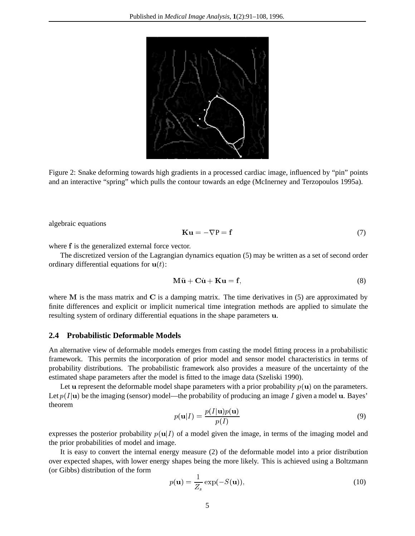

Figure 2: Snake deforming towards high gradients in a processed cardiac image, influenced by "pin" points and an interactive "spring" which pulls the contour towards an edge (McInerney and Terzopoulos 1995a).

algebraic equations

$$
Ku = -\nabla P = f \tag{7}
$$

where **f** is the generalized external force vector.

The discretized version of the Lagrangian dynamics equation (5) may be written as a set of second order ordinary differential equations for  $\mathbf{u}(t)$ :

$$
\mathbf{M}\ddot{\mathbf{u}} + \mathbf{C}\dot{\mathbf{u}} + \mathbf{K}\mathbf{u} = \mathbf{f},\tag{8}
$$

where M is the mass matrix and C is a damping matrix. The time derivatives in  $(5)$  are approximated by finite differences and explicit or implicit numerical time integration methods are applied to simulate the resulting system of ordinary differential equations in the shape parameters <sup>u</sup>.

### **2.4 Probabilistic Deformable Models**

An alternative view of deformable models emerges from casting the model fitting process in a probabilistic framework. This permits the incorporation of prior model and sensor model characteristics in terms of probability distributions. The probabilistic framework also provides a measure of the uncertainty of the estimated shape parameters after the model is fitted to the image data (Szeliski 1990).

Let u represent the deformable model shape parameters with a prior probability  $p(u)$  on the parameters. Let  $p(I|\mathbf{u})$  be the imaging (sensor) model—the probability of producing an image I given a model u. Bayes' theorem

$$
p(\mathbf{u}|I) = \frac{p(I|\mathbf{u})p(\mathbf{u})}{p(I)}
$$
\n(9)

expresses the posterior probability  $p(\mathbf{u}|I)$  of a model given the image, in terms of the imaging model and the prior probabilities of model and image.

It is easy to convert the internal energy measure (2) of the deformable model into a prior distribution over expected shapes, with lower energy shapes being the more likely. This is achieved using a Boltzmann (or Gibbs) distribution of the form

$$
p(\mathbf{u}) = \frac{1}{Z_s} \exp(-S(\mathbf{u})),\tag{10}
$$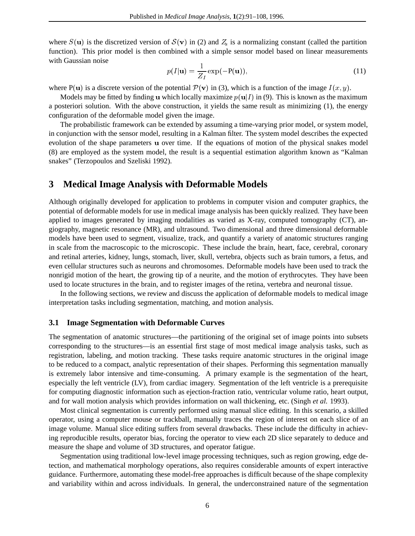where  $S(\mathbf{u})$  is the discretized version of  $S(\mathbf{v})$  in (2) and  $Z_s$  is a normalizing constant (called the partition function). This prior model is then combined with a simple sensor model based on linear measurements with Gaussian noise

$$
p(I|\mathbf{u}) = \frac{1}{Z_I} \exp(-P(\mathbf{u})),\tag{11}
$$

where P(u) is a discrete version of the potential  $\mathcal{P}(v)$  in (3), which is a function of the image  $I(x, y)$ .

Models may be fitted by finding u which locally maximize  $p(\mathbf{u}|I)$  in (9). This is known as the maximum a posteriori solution. With the above construction, it yields the same result as minimizing (1), the energy configuration of the deformable model given the image.

The probabilistic framework can be extended by assuming a time-varying prior model, or system model, in conjunction with the sensor model, resulting in a Kalman filter. The system model describes the expected evolution of the shape parameters <sup>u</sup> over time. If the equations of motion of the physical snakes model (8) are employed as the system model, the result is a sequential estimation algorithm known as "Kalman snakes" (Terzopoulos and Szeliski 1992).

# **3 Medical Image Analysis with Deformable Models**

Although originally developed for application to problems in computer vision and computer graphics, the potential of deformable models for use in medical image analysis has been quickly realized. They have been applied to images generated by imaging modalities as varied as X-ray, computed tomography (CT), angiography, magnetic resonance (MR), and ultrasound. Two dimensional and three dimensional deformable models have been used to segment, visualize, track, and quantify a variety of anatomic structures ranging in scale from the macroscopic to the microscopic. These include the brain, heart, face, cerebral, coronary and retinal arteries, kidney, lungs, stomach, liver, skull, vertebra, objects such as brain tumors, a fetus, and even cellular structures such as neurons and chromosomes. Deformable models have been used to track the nonrigid motion of the heart, the growing tip of a neurite, and the motion of erythrocytes. They have been used to locate structures in the brain, and to register images of the retina, vertebra and neuronal tissue.

In the following sections, we review and discuss the application of deformable models to medical image interpretation tasks including segmentation, matching, and motion analysis.

### **3.1 Image Segmentation with Deformable Curves**

The segmentation of anatomic structures—the partitioning of the original set of image points into subsets corresponding to the structures—is an essential first stage of most medical image analysis tasks, such as registration, labeling, and motion tracking. These tasks require anatomic structures in the original image to be reduced to a compact, analytic representation of their shapes. Performing this segmentation manually is extremely labor intensive and time-consuming. A primary example is the segmentation of the heart, especially the left ventricle (LV), from cardiac imagery. Segmentation of the left ventricle is a prerequisite for computing diagnostic information such as ejection-fraction ratio, ventricular volume ratio, heart output, and for wall motion analysis which provides information on wall thickening, etc. (Singh *et al.* 1993).

Most clinical segmentation is currently performed using manual slice editing. In this scenario, a skilled operator, using a computer mouse or trackball, manually traces the region of interest on each slice of an image volume. Manual slice editing suffers from several drawbacks. These include the difficulty in achieving reproducible results, operator bias, forcing the operator to view each 2D slice separately to deduce and measure the shape and volume of 3D structures, and operator fatigue.

Segmentation using traditional low-level image processing techniques, such as region growing, edge detection, and mathematical morphology operations, also requires considerable amounts of expert interactive guidance. Furthermore, automating these model-free approaches is difficult because of the shape complexity and variability within and across individuals. In general, the underconstrained nature of the segmentation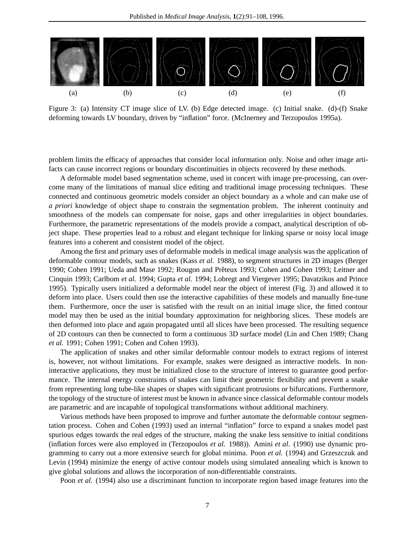

Figure 3: (a) Intensity CT image slice of LV. (b) Edge detected image. (c) Initial snake. (d)-(f) Snake deforming towards LV boundary, driven by "inflation" force. (McInerney and Terzopoulos 1995a).

problem limits the efficacy of approaches that consider local information only. Noise and other image artifacts can cause incorrect regions or boundary discontinuities in objects recovered by these methods.

A deformable model based segmentation scheme, used in concert with image pre-processing, can overcome many of the limitations of manual slice editing and traditional image processing techniques. These connected and continuous geometric models consider an object boundary as a whole and can make use of *a priori* knowledge of object shape to constrain the segmentation problem. The inherent continuity and smoothness of the models can compensate for noise, gaps and other irregularities in object boundaries. Furthermore, the parametric representations of the models provide a compact, analytical description of object shape. These properties lead to a robust and elegant technique for linking sparse or noisy local image features into a coherent and consistent model of the object.

Among the first and primary uses of deformable models in medical image analysis was the application of deformable contour models, such as snakes (Kass *et al.* 1988), to segment structures in 2D images (Berger 1990; Cohen 1991; Ueda and Mase 1992; Rougon and Prˆeteux 1993; Cohen and Cohen 1993; Leitner and Cinquin 1993; Carlbom *et al.* 1994; Gupta *et al.* 1994; Lobregt and Viergever 1995; Davatzikos and Prince 1995). Typically users initialized a deformable model near the object of interest (Fig. 3) and allowed it to deform into place. Users could then use the interactive capabilities of these models and manually fine-tune them. Furthermore, once the user is satisfied with the result on an initial image slice, the fitted contour model may then be used as the initial boundary approximation for neighboring slices. These models are then deformed into place and again propagated until all slices have been processed. The resulting sequence of 2D contours can then be connected to form a continuous 3D surface model (Lin and Chen 1989; Chang *et al.* 1991; Cohen 1991; Cohen and Cohen 1993).

The application of snakes and other similar deformable contour models to extract regions of interest is, however, not without limitations. For example, snakes were designed as interactive models. In noninteractive applications, they must be initialized close to the structure of interest to guarantee good performance. The internal energy constraints of snakes can limit their geometric flexibility and prevent a snake from representing long tube-like shapes or shapes with significant protrusions or bifurcations. Furthermore, the topology of the structure of interest must be known in advance since classical deformable contour models are parametric and are incapable of topological transformations without additional machinery.

Various methods have been proposed to improve and further automate the deformable contour segmentation process. Cohen and Cohen (1993) used an internal "inflation" force to expand a snakes model past spurious edges towards the real edges of the structure, making the snake less sensitive to initial conditions (inflation forces were also employed in (Terzopoulos *et al.* 1988)). Amini *et al.* (1990) use dynamic programming to carry out a more extensive search for global minima. Poon *et al.* (1994) and Grzeszczuk and Levin (1994) minimize the energy of active contour models using simulated annealing which is known to give global solutions and allows the incorporation of non-differentiable constraints.

Poon *et al.* (1994) also use a discriminant function to incorporate region based image features into the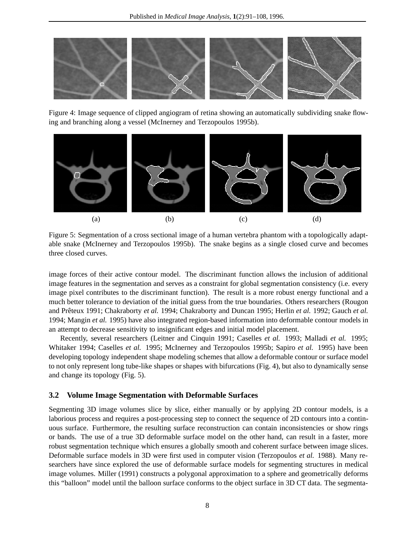

Figure 4: Image sequence of clipped angiogram of retina showing an automatically subdividing snake flowing and branching along a vessel (McInerney and Terzopoulos 1995b).



Figure 5: Segmentation of a cross sectional image of a human vertebra phantom with a topologically adaptable snake (McInerney and Terzopoulos 1995b). The snake begins as a single closed curve and becomes three closed curves.

image forces of their active contour model. The discriminant function allows the inclusion of additional image features in the segmentation and serves as a constraint for global segmentation consistency (i.e. every image pixel contributes to the discriminant function). The result is a more robust energy functional and a much better tolerance to deviation of the initial guess from the true boundaries. Others researchers (Rougon and Prêteux 1991; Chakraborty *et al.* 1994; Chakraborty and Duncan 1995; Herlin *et al.* 1992; Gauch *et al.* 1994; Mangin *et al.* 1995) have also integrated region-based information into deformable contour models in an attempt to decrease sensitivity to insignificant edges and initial model placement.

Recently, several researchers (Leitner and Cinquin 1991; Caselles *et al.* 1993; Malladi *et al.* 1995; Whitaker 1994; Caselles *et al.* 1995; McInerney and Terzopoulos 1995b; Sapiro *et al.* 1995) have been developing topology independent shape modeling schemes that allow a deformable contour or surface model to not only represent long tube-like shapes or shapes with bifurcations (Fig. 4), but also to dynamically sense and change its topology (Fig. 5).

### **3.2 Volume Image Segmentation with Deformable Surfaces**

Segmenting 3D image volumes slice by slice, either manually or by applying 2D contour models, is a laborious process and requires a post-processing step to connect the sequence of 2D contours into a continuous surface. Furthermore, the resulting surface reconstruction can contain inconsistencies or show rings or bands. The use of a true 3D deformable surface model on the other hand, can result in a faster, more robust segmentation technique which ensures a globally smooth and coherent surface between image slices. Deformable surface models in 3D were first used in computer vision (Terzopoulos *et al.* 1988). Many researchers have since explored the use of deformable surface models for segmenting structures in medical image volumes. Miller (1991) constructs a polygonal approximation to a sphere and geometrically deforms this "balloon" model until the balloon surface conforms to the object surface in 3D CT data. The segmenta-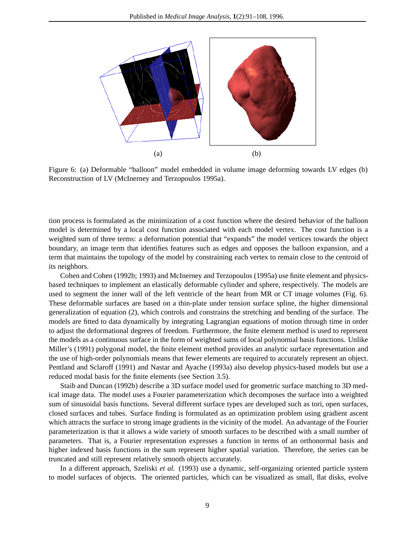

Figure 6: (a) Deformable "balloon" model embedded in volume image deforming towards LV edges (b) Reconstruction of LV (McInerney and Terzopoulos 1995a).

tion process is formulated as the minimization of a cost function where the desired behavior of the balloon model is determined by a local cost function associated with each model vertex. The cost function is a weighted sum of three terms: a deformation potential that "expands" the model vertices towards the object boundary, an image term that identifies features such as edges and opposes the balloon expansion, and a term that maintains the topology of the model by constraining each vertex to remain close to the centroid of its neighbors.

Cohen and Cohen (1992b; 1993) and McInerney and Terzopoulos (1995a) use finite element and physicsbased techniques to implement an elastically deformable cylinder and sphere, respectively. The models are used to segment the inner wall of the left ventricle of the heart from MR or CT image volumes (Fig. 6). These deformable surfaces are based on a thin-plate under tension surface spline, the higher dimensional generalization of equation (2), which controls and constrains the stretching and bending of the surface. The models are fitted to data dynamically by integrating Lagrangian equations of motion through time in order to adjust the deformational degrees of freedom. Furthermore, the finite element method is used to represent the models as a continuous surface in the form of weighted sums of local polynomial basis functions. Unlike Miller's (1991) polygonal model, the finite element method provides an analytic surface representation and the use of high-order polynomials means that fewer elements are required to accurately represent an object. Pentland and Sclaroff (1991) and Nastar and Ayache (1993a) also develop physics-based models but use a reduced modal basis for the finite elements (see Section 3.5).

Staib and Duncan (1992b) describe a 3D surface model used for geometric surface matching to 3D medical image data. The model uses a Fourier parameterization which decomposes the surface into a weighted sum of sinusoidal basis functions. Several different surface types are developed such as tori, open surfaces, closed surfaces and tubes. Surface finding is formulated as an optimization problem using gradient ascent which attracts the surface to strong image gradients in the vicinity of the model. An advantage of the Fourier parameterization is that it allows a wide variety of smooth surfaces to be described with a small number of parameters. That is, a Fourier representation expresses a function in terms of an orthonormal basis and higher indexed basis functions in the sum represent higher spatial variation. Therefore, the series can be truncated and still represent relatively smooth objects accurately.

In a different approach, Szeliski *et al.* (1993) use a dynamic, self-organizing oriented particle system to model surfaces of objects. The oriented particles, which can be visualized as small, flat disks, evolve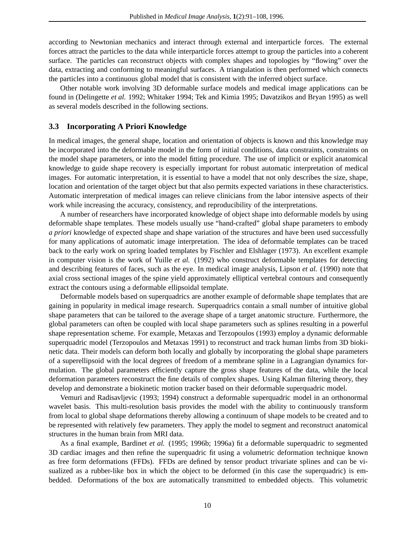according to Newtonian mechanics and interact through external and interparticle forces. The external forces attract the particles to the data while interparticle forces attempt to group the particles into a coherent surface. The particles can reconstruct objects with complex shapes and topologies by "flowing" over the data, extracting and conforming to meaningful surfaces. A triangulation is then performed which connects the particles into a continuous global model that is consistent with the inferred object surface.

Other notable work involving 3D deformable surface models and medical image applications can be found in (Delingette *et al.* 1992; Whitaker 1994; Tek and Kimia 1995; Davatzikos and Bryan 1995) as well as several models described in the following sections.

### **3.3 Incorporating A Priori Knowledge**

In medical images, the general shape, location and orientation of objects is known and this knowledge may be incorporated into the deformable model in the form of initial conditions, data constraints, constraints on the model shape parameters, or into the model fitting procedure. The use of implicit or explicit anatomical knowledge to guide shape recovery is especially important for robust automatic interpretation of medical images. For automatic interpretation, it is essential to have a model that not only describes the size, shape, location and orientation of the target object but that also permits expected variations in these characteristics. Automatic interpretation of medical images can relieve clinicians from the labor intensive aspects of their work while increasing the accuracy, consistency, and reproducibility of the interpretations.

A number of researchers have incorporated knowledge of object shape into deformable models by using deformable shape templates. These models usually use "hand-crafted" global shape parameters to embody *a priori* knowledge of expected shape and shape variation of the structures and have been used successfully for many applications of automatic image interpretation. The idea of deformable templates can be traced back to the early work on spring loaded templates by Fischler and Elshlager (1973). An excellent example in computer vision is the work of Yuille *et al.* (1992) who construct deformable templates for detecting and describing features of faces, such as the eye. In medical image analysis, Lipson *et al.* (1990) note that axial cross sectional images of the spine yield approximately elliptical vertebral contours and consequently extract the contours using a deformable ellipsoidal template.

Deformable models based on superquadrics are another example of deformable shape templates that are gaining in popularity in medical image research. Superquadrics contain a small number of intuitive global shape parameters that can be tailored to the average shape of a target anatomic structure. Furthermore, the global parameters can often be coupled with local shape parameters such as splines resulting in a powerful shape representation scheme. For example, Metaxas and Terzopoulos (1993) employ a dynamic deformable superquadric model (Terzopoulos and Metaxas 1991) to reconstruct and track human limbs from 3D biokinetic data. Their models can deform both locally and globally by incorporating the global shape parameters of a superellipsoid with the local degrees of freedom of a membrane spline in a Lagrangian dynamics formulation. The global parameters efficiently capture the gross shape features of the data, while the local deformation parameters reconstruct the fine details of complex shapes. Using Kalman filtering theory, they develop and demonstrate a biokinetic motion tracker based on their deformable superquadric model.

Vemuri and Radisavljevic (1993; 1994) construct a deformable superquadric model in an orthonormal wavelet basis. This multi-resolution basis provides the model with the ability to continuously transform from local to global shape deformations thereby allowing a continuum of shape models to be created and to be represented with relatively few parameters. They apply the model to segment and reconstruct anatomical structures in the human brain from MRI data.

As a final example, Bardinet *et al.* (1995; 1996b; 1996a) fit a deformable superquadric to segmented 3D cardiac images and then refine the superquadric fit using a volumetric deformation technique known as free form deformations (FFDs). FFDs are defined by tensor product trivariate splines and can be visualized as a rubber-like box in which the object to be deformed (in this case the superquadric) is embedded. Deformations of the box are automatically transmitted to embedded objects. This volumetric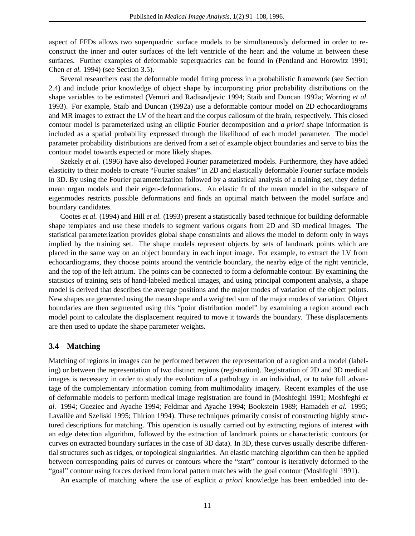aspect of FFDs allows two superquadric surface models to be simultaneously deformed in order to reconstruct the inner and outer surfaces of the left ventricle of the heart and the volume in between these surfaces. Further examples of deformable superquadrics can be found in (Pentland and Horowitz 1991; Chen *et al.* 1994) (see Section 3.5).

Several researchers cast the deformable model fitting process in a probabilistic framework (see Section 2.4) and include prior knowledge of object shape by incorporating prior probability distributions on the shape variables to be estimated (Vemuri and Radisavljevic 1994; Staib and Duncan 1992a; Worring *et al.* 1993). For example, Staib and Duncan (1992a) use a deformable contour model on 2D echocardiograms and MR images to extract the LV of the heart and the corpus callosum of the brain, respectively. This closed contour model is parameterized using an elliptic Fourier decomposition and *a priori* shape information is included as a spatial probability expressed through the likelihood of each model parameter. The model parameter probability distributions are derived from a set of example object boundaries and serve to bias the contour model towards expected or more likely shapes.

Szekely *et al.* (1996) have also developed Fourier parameterized models. Furthermore, they have added elasticity to their models to create "Fourier snakes" in 2D and elastically deformable Fourier surface models in 3D. By using the Fourier parameterization followed by a statistical analysis of a training set, they define mean organ models and their eigen-deformations. An elastic fit of the mean model in the subspace of eigenmodes restricts possible deformations and finds an optimal match between the model surface and boundary candidates.

Cootes *et al.* (1994) and Hill *et al.* (1993) present a statistically based technique for building deformable shape templates and use these models to segment various organs from 2D and 3D medical images. The statistical parameterization provides global shape constraints and allows the model to deform only in ways implied by the training set. The shape models represent objects by sets of landmark points which are placed in the same way on an object boundary in each input image. For example, to extract the LV from echocardiograms, they choose points around the ventricle boundary, the nearby edge of the right ventricle, and the top of the left atrium. The points can be connected to form a deformable contour. By examining the statistics of training sets of hand-labeled medical images, and using principal component analysis, a shape model is derived that describes the average positions and the major modes of variation of the object points. New shapes are generated using the mean shape and a weighted sum of the major modes of variation. Object boundaries are then segmented using this "point distribution model" by examining a region around each model point to calculate the displacement required to move it towards the boundary. These displacements are then used to update the shape parameter weights.

### **3.4 Matching**

Matching of regions in images can be performed between the representation of a region and a model (labeling) or between the representation of two distinct regions (registration). Registration of 2D and 3D medical images is necessary in order to study the evolution of a pathology in an individual, or to take full advantage of the complementary information coming from multimodality imagery. Recent examples of the use of deformable models to perform medical image registration are found in (Moshfeghi 1991; Moshfeghi *et al.* 1994; Gueziec and Ayache 1994; Feldmar and Ayache 1994; Bookstein 1989; Hamadeh *et al.* 1995; Lavallée and Szeliski 1995; Thirion 1994). These techniques primarily consist of constructing highly structured descriptions for matching. This operation is usually carried out by extracting regions of interest with an edge detection algorithm, followed by the extraction of landmark points or characteristic contours (or curves on extracted boundary surfaces in the case of 3D data). In 3D, these curves usually describe differential structures such as ridges, or topological singularities. An elastic matching algorithm can then be applied between corresponding pairs of curves or contours where the "start" contour is iteratively deformed to the "goal" contour using forces derived from local pattern matches with the goal contour (Moshfeghi 1991).

An example of matching where the use of explicit *a priori* knowledge has been embedded into de-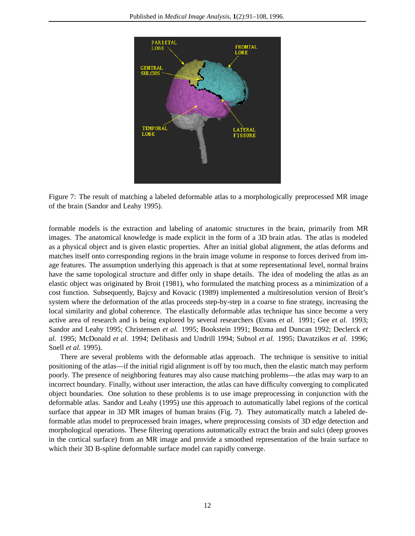

Figure 7: The result of matching a labeled deformable atlas to a morphologically preprocessed MR image of the brain (Sandor and Leahy 1995).

formable models is the extraction and labeling of anatomic structures in the brain, primarily from MR images. The anatomical knowledge is made explicit in the form of a 3D brain atlas. The atlas is modeled as a physical object and is given elastic properties. After an initial global alignment, the atlas deforms and matches itself onto corresponding regions in the brain image volume in response to forces derived from image features. The assumption underlying this approach is that at some representational level, normal brains have the same topological structure and differ only in shape details. The idea of modeling the atlas as an elastic object was originated by Broit (1981), who formulated the matching process as a minimization of a cost function. Subsequently, Bajcsy and Kovacic (1989) implemented a multiresolution version of Broit's system where the deformation of the atlas proceeds step-by-step in a coarse to fine strategy, increasing the local similarity and global coherence. The elastically deformable atlas technique has since become a very active area of research and is being explored by several researchers (Evans *et al.* 1991; Gee *et al.* 1993; Sandor and Leahy 1995; Christensen *et al.* 1995; Bookstein 1991; Bozma and Duncan 1992; Declerck *et al.* 1995; McDonald *et al.* 1994; Delibasis and Undrill 1994; Subsol *et al.* 1995; Davatzikos *et al.* 1996; Snell *et al.* 1995).

There are several problems with the deformable atlas approach. The technique is sensitive to initial positioning of the atlas—if the initial rigid alignment is off by too much, then the elastic match may perform poorly. The presence of neighboring features may also cause matching problems—the atlas may warp to an incorrect boundary. Finally, without user interaction, the atlas can have difficulty converging to complicated object boundaries. One solution to these problems is to use image preprocessing in conjunction with the deformable atlas. Sandor and Leahy (1995) use this approach to automatically label regions of the cortical surface that appear in 3D MR images of human brains (Fig. 7). They automatically match a labeled deformable atlas model to preprocessed brain images, where preprocessing consists of 3D edge detection and morphological operations. These filtering operations automatically extract the brain and sulci (deep grooves in the cortical surface) from an MR image and provide a smoothed representation of the brain surface to which their 3D B-spline deformable surface model can rapidly converge.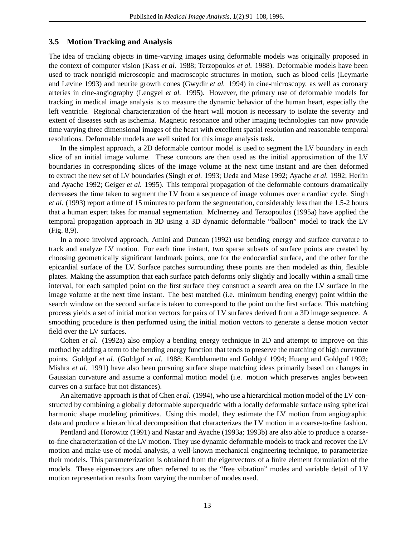#### **3.5 Motion Tracking and Analysis**

The idea of tracking objects in time-varying images using deformable models was originally proposed in the context of computer vision (Kass *et al.* 1988; Terzopoulos *et al.* 1988). Deformable models have been used to track nonrigid microscopic and macroscopic structures in motion, such as blood cells (Leymarie and Levine 1993) and neurite growth cones (Gwydir *et al.* 1994) in cine-microscopy, as well as coronary arteries in cine-angiography (Lengyel *et al.* 1995). However, the primary use of deformable models for tracking in medical image analysis is to measure the dynamic behavior of the human heart, especially the left ventricle. Regional characterization of the heart wall motion is necessary to isolate the severity and extent of diseases such as ischemia. Magnetic resonance and other imaging technologies can now provide time varying three dimensional images of the heart with excellent spatial resolution and reasonable temporal resolutions. Deformable models are well suited for this image analysis task.

In the simplest approach, a 2D deformable contour model is used to segment the LV boundary in each slice of an initial image volume. These contours are then used as the initial approximation of the LV boundaries in corresponding slices of the image volume at the next time instant and are then deformed to extract the new set of LV boundaries (Singh *et al.* 1993; Ueda and Mase 1992; Ayache *et al.* 1992; Herlin and Ayache 1992; Geiger *et al.* 1995). This temporal propagation of the deformable contours dramatically decreases the time taken to segment the LV from a sequence of image volumes over a cardiac cycle. Singh *et al.* (1993) report a time of 15 minutes to perform the segmentation, considerably less than the 1.5-2 hours that a human expert takes for manual segmentation. McInerney and Terzopoulos (1995a) have applied the temporal propagation approach in 3D using a 3D dynamic deformable "balloon" model to track the LV (Fig. 8,9).

In a more involved approach, Amini and Duncan (1992) use bending energy and surface curvature to track and analyze LV motion. For each time instant, two sparse subsets of surface points are created by choosing geometrically significant landmark points, one for the endocardial surface, and the other for the epicardial surface of the LV. Surface patches surrounding these points are then modeled as thin, flexible plates. Making the assumption that each surface patch deforms only slightly and locally within a small time interval, for each sampled point on the first surface they construct a search area on the LV surface in the image volume at the next time instant. The best matched (i.e. minimum bending energy) point within the search window on the second surface is taken to correspond to the point on the first surface. This matching process yields a set of initial motion vectors for pairs of LV surfaces derived from a 3D image sequence. A smoothing procedure is then performed using the initial motion vectors to generate a dense motion vector field over the LV surfaces.

Cohen *et al.* (1992a) also employ a bending energy technique in 2D and attempt to improve on this method by adding a term to the bending energy function that tends to preserve the matching of high curvature points. Goldgof *et al.* (Goldgof *et al.* 1988; Kambhamettu and Goldgof 1994; Huang and Goldgof 1993; Mishra *et al.* 1991) have also been pursuing surface shape matching ideas primarily based on changes in Gaussian curvature and assume a conformal motion model (i.e. motion which preserves angles between curves on a surface but not distances).

An alternative approach is that of Chen *et al.* (1994), who use a hierarchical motion model of the LV constructed by combining a globally deformable superquadric with a locally deformable surface using spherical harmonic shape modeling primitives. Using this model, they estimate the LV motion from angiographic data and produce a hierarchical decomposition that characterizes the LV motion in a coarse-to-fine fashion.

Pentland and Horowitz (1991) and Nastar and Ayache (1993a; 1993b) are also able to produce a coarseto-fine characterization of the LV motion. They use dynamic deformable models to track and recover the LV motion and make use of modal analysis, a well-known mechanical engineering technique, to parameterize their models. This parameterization is obtained from the eigenvectors of a finite element formulation of the models. These eigenvectors are often referred to as the "free vibration" modes and variable detail of LV motion representation results from varying the number of modes used.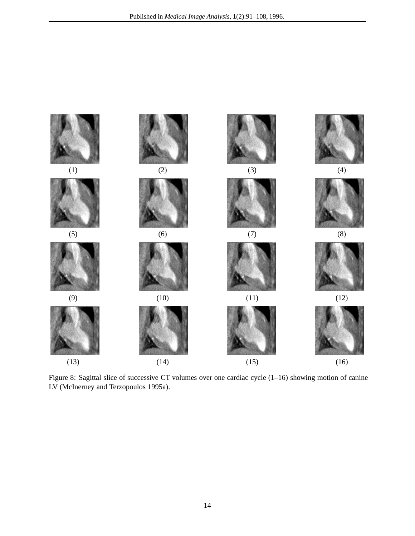

Figure 8: Sagittal slice of successive CT volumes over one cardiac cycle (1–16) showing motion of canine LV (McInerney and Terzopoulos 1995a).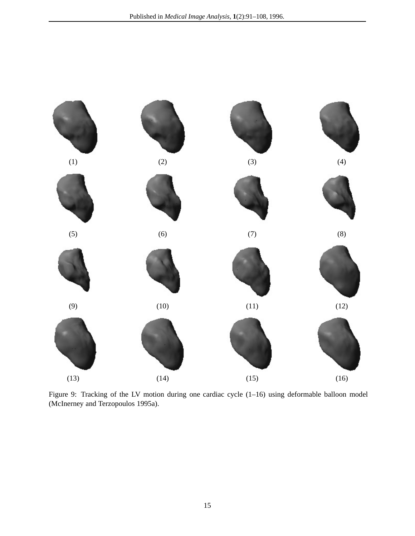![](_page_14_Figure_1.jpeg)

Figure 9: Tracking of the LV motion during one cardiac cycle (1–16) using deformable balloon model (McInerney and Terzopoulos 1995a).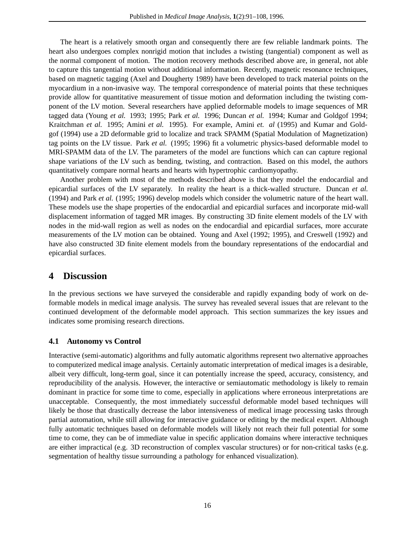The heart is a relatively smooth organ and consequently there are few reliable landmark points. The heart also undergoes complex nonrigid motion that includes a twisting (tangential) component as well as the normal component of motion. The motion recovery methods described above are, in general, not able to capture this tangential motion without additional information. Recently, magnetic resonance techniques, based on magnetic tagging (Axel and Dougherty 1989) have been developed to track material points on the myocardium in a non-invasive way. The temporal correspondence of material points that these techniques provide allow for quantitative measurement of tissue motion and deformation including the twisting component of the LV motion. Several researchers have applied deformable models to image sequences of MR tagged data (Young *et al.* 1993; 1995; Park *et al.* 1996; Duncan *et al.* 1994; Kumar and Goldgof 1994; Kraitchman *et al.* 1995; Amini *et al.* 1995). For example, Amini *et. al* (1995) and Kumar and Goldgof (1994) use a 2D deformable grid to localize and track SPAMM (Spatial Modulation of Magnetization) tag points on the LV tissue. Park *et al.* (1995; 1996) fit a volumetric physics-based deformable model to MRI-SPAMM data of the LV. The parameters of the model are functions which can can capture regional shape variations of the LV such as bending, twisting, and contraction. Based on this model, the authors quantitatively compare normal hearts and hearts with hypertrophic cardiomyopathy.

Another problem with most of the methods described above is that they model the endocardial and epicardial surfaces of the LV separately. In reality the heart is a thick-walled structure. Duncan *et al.* (1994) and Park *et al.* (1995; 1996) develop models which consider the volumetric nature of the heart wall. These models use the shape properties of the endocardial and epicardial surfaces and incorporate mid-wall displacement information of tagged MR images. By constructing 3D finite element models of the LV with nodes in the mid-wall region as well as nodes on the endocardial and epicardial surfaces, more accurate measurements of the LV motion can be obtained. Young and Axel (1992; 1995), and Creswell (1992) and have also constructed 3D finite element models from the boundary representations of the endocardial and epicardial surfaces.

# **4 Discussion**

In the previous sections we have surveyed the considerable and rapidly expanding body of work on deformable models in medical image analysis. The survey has revealed several issues that are relevant to the continued development of the deformable model approach. This section summarizes the key issues and indicates some promising research directions.

### **4.1 Autonomy vs Control**

Interactive (semi-automatic) algorithms and fully automatic algorithms represent two alternative approaches to computerized medical image analysis. Certainly automatic interpretation of medical images is a desirable, albeit very difficult, long-term goal, since it can potentially increase the speed, accuracy, consistency, and reproducibility of the analysis. However, the interactive or semiautomatic methodology is likely to remain dominant in practice for some time to come, especially in applications where erroneous interpretations are unacceptable. Consequently, the most immediately successful deformable model based techniques will likely be those that drastically decrease the labor intensiveness of medical image processing tasks through partial automation, while still allowing for interactive guidance or editing by the medical expert. Although fully automatic techniques based on deformable models will likely not reach their full potential for some time to come, they can be of immediate value in specific application domains where interactive techniques are either impractical (e.g. 3D reconstruction of complex vascular structures) or for non-critical tasks (e.g. segmentation of healthy tissue surrounding a pathology for enhanced visualization).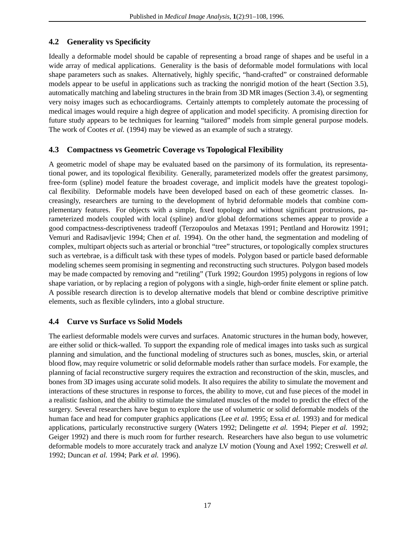# **4.2 Generality vs Specificity**

Ideally a deformable model should be capable of representing a broad range of shapes and be useful in a wide array of medical applications. Generality is the basis of deformable model formulations with local shape parameters such as snakes. Alternatively, highly specific, "hand-crafted" or constrained deformable models appear to be useful in applications such as tracking the nonrigid motion of the heart (Section 3.5), automatically matching and labeling structures in the brain from 3D MR images (Section 3.4), or segmenting very noisy images such as echocardiograms. Certainly attempts to completely automate the processing of medical images would require a high degree of application and model specificity. A promising direction for future study appears to be techniques for learning "tailored" models from simple general purpose models. The work of Cootes *et al.* (1994) may be viewed as an example of such a strategy.

# **4.3 Compactness vs Geometric Coverage vs Topological Flexibility**

A geometric model of shape may be evaluated based on the parsimony of its formulation, its representational power, and its topological flexibility. Generally, parameterized models offer the greatest parsimony, free-form (spline) model feature the broadest coverage, and implicit models have the greatest topological flexibility. Deformable models have been developed based on each of these geometric classes. Increasingly, researchers are turning to the development of hybrid deformable models that combine complementary features. For objects with a simple, fixed topology and without significant protrusions, parameterized models coupled with local (spline) and/or global deformations schemes appear to provide a good compactness-descriptiveness tradeoff (Terzopoulos and Metaxas 1991; Pentland and Horowitz 1991; Vemuri and Radisavljevic 1994; Chen *et al.* 1994). On the other hand, the segmentation and modeling of complex, multipart objects such as arterial or bronchial "tree" structures, or topologically complex structures such as vertebrae, is a difficult task with these types of models. Polygon based or particle based deformable modeling schemes seem promising in segmenting and reconstructing such structures. Polygon based models may be made compacted by removing and "retiling" (Turk 1992; Gourdon 1995) polygons in regions of low shape variation, or by replacing a region of polygons with a single, high-order finite element or spline patch. A possible research direction is to develop alternative models that blend or combine descriptive primitive elements, such as flexible cylinders, into a global structure.

# **4.4 Curve vs Surface vs Solid Models**

The earliest deformable models were curves and surfaces. Anatomic structures in the human body, however, are either solid or thick-walled. To support the expanding role of medical images into tasks such as surgical planning and simulation, and the functional modeling of structures such as bones, muscles, skin, or arterial blood flow, may require volumetric or solid deformable models rather than surface models. For example, the planning of facial reconstructive surgery requires the extraction and reconstruction of the skin, muscles, and bones from 3D images using accurate solid models. It also requires the ability to simulate the movement and interactions of these structures in response to forces, the ability to move, cut and fuse pieces of the model in a realistic fashion, and the ability to stimulate the simulated muscles of the model to predict the effect of the surgery. Several researchers have begun to explore the use of volumetric or solid deformable models of the human face and head for computer graphics applications (Lee *et al.* 1995; Essa *et al.* 1993) and for medical applications, particularly reconstructive surgery (Waters 1992; Delingette *et al.* 1994; Pieper *et al.* 1992; Geiger 1992) and there is much room for further research. Researchers have also begun to use volumetric deformable models to more accurately track and analyze LV motion (Young and Axel 1992; Creswell *et al.* 1992; Duncan *et al.* 1994; Park *et al.* 1996).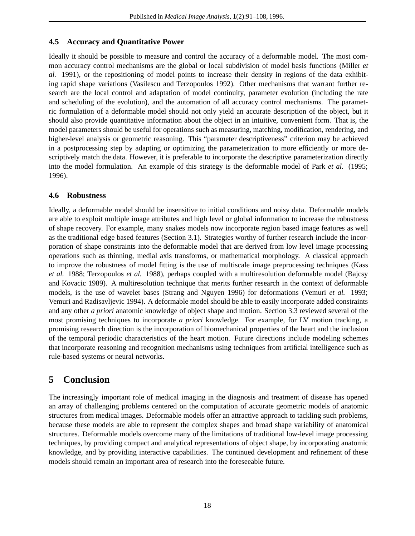# **4.5 Accuracy and Quantitative Power**

Ideally it should be possible to measure and control the accuracy of a deformable model. The most common accuracy control mechanisms are the global or local subdivision of model basis functions (Miller *et al.* 1991), or the repositioning of model points to increase their density in regions of the data exhibiting rapid shape variations (Vasilescu and Terzopoulos 1992). Other mechanisms that warrant further research are the local control and adaptation of model continuity, parameter evolution (including the rate and scheduling of the evolution), and the automation of all accuracy control mechanisms. The parametric formulation of a deformable model should not only yield an accurate description of the object, but it should also provide quantitative information about the object in an intuitive, convenient form. That is, the model parameters should be useful for operations such as measuring, matching, modification, rendering, and higher-level analysis or geometric reasoning. This "parameter descriptiveness" criterion may be achieved in a postprocessing step by adapting or optimizing the parameterization to more efficiently or more descriptively match the data. However, it is preferable to incorporate the descriptive parameterization directly into the model formulation. An example of this strategy is the deformable model of Park *et al.* (1995; 1996).

# **4.6 Robustness**

Ideally, a deformable model should be insensitive to initial conditions and noisy data. Deformable models are able to exploit multiple image attributes and high level or global information to increase the robustness of shape recovery. For example, many snakes models now incorporate region based image features as well as the traditional edge based features (Section 3.1). Strategies worthy of further research include the incorporation of shape constraints into the deformable model that are derived from low level image processing operations such as thinning, medial axis transforms, or mathematical morphology. A classical approach to improve the robustness of model fitting is the use of multiscale image preprocessing techniques (Kass *et al.* 1988; Terzopoulos *et al.* 1988), perhaps coupled with a multiresolution deformable model (Bajcsy and Kovacic 1989). A multiresolution technique that merits further research in the context of deformable models, is the use of wavelet bases (Strang and Nguyen 1996) for deformations (Vemuri *et al.* 1993; Vemuri and Radisavljevic 1994). A deformable model should be able to easily incorporate added constraints and any other *a priori* anatomic knowledge of object shape and motion. Section 3.3 reviewed several of the most promising techniques to incorporate *a priori* knowledge. For example, for LV motion tracking, a promising research direction is the incorporation of biomechanical properties of the heart and the inclusion of the temporal periodic characteristics of the heart motion. Future directions include modeling schemes that incorporate reasoning and recognition mechanisms using techniques from artificial intelligence such as rule-based systems or neural networks.

# **5 Conclusion**

The increasingly important role of medical imaging in the diagnosis and treatment of disease has opened an array of challenging problems centered on the computation of accurate geometric models of anatomic structures from medical images. Deformable models offer an attractive approach to tackling such problems, because these models are able to represent the complex shapes and broad shape variability of anatomical structures. Deformable models overcome many of the limitations of traditional low-level image processing techniques, by providing compact and analytical representations of object shape, by incorporating anatomic knowledge, and by providing interactive capabilities. The continued development and refinement of these models should remain an important area of research into the foreseeable future.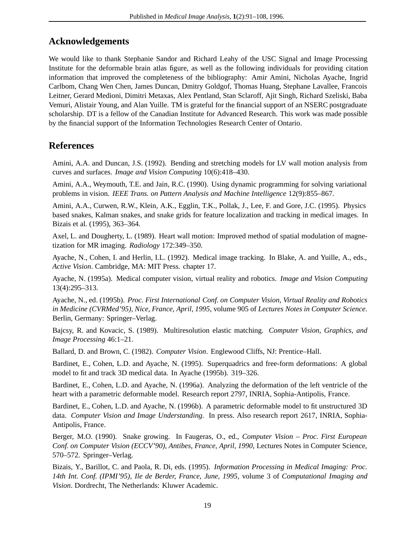# **Acknowledgements**

We would like to thank Stephanie Sandor and Richard Leahy of the USC Signal and Image Processing Institute for the deformable brain atlas figure, as well as the following individuals for providing citation information that improved the completeness of the bibliography: Amir Amini, Nicholas Ayache, Ingrid Carlbom, Chang Wen Chen, James Duncan, Dmitry Goldgof, Thomas Huang, Stephane Lavallee, Francois Leitner, Gerard Medioni, Dimitri Metaxas, Alex Pentland, Stan Sclaroff, Ajit Singh, Richard Szeliski, Baba Vemuri, Alistair Young, and Alan Yuille. TM is grateful for the financial support of an NSERC postgraduate scholarship. DT is a fellow of the Canadian Institute for Advanced Research. This work was made possible by the financial support of the Information Technologies Research Center of Ontario.

# **References**

Amini, A.A. and Duncan, J.S. (1992). Bending and stretching models for LV wall motion analysis from curves and surfaces. *Image and Vision Computing* 10(6):418–430.

Amini, A.A., Weymouth, T.E. and Jain, R.C. (1990). Using dynamic programming for solving variational problems in vision. *IEEE Trans. on Pattern Analysis and Machine Intelligence* 12(9):855–867.

Amini, A.A., Curwen, R.W., Klein, A.K., Egglin, T.K., Pollak, J., Lee, F. and Gore, J.C. (1995). Physics based snakes, Kalman snakes, and snake grids for feature localization and tracking in medical images. In Bizais et al. (1995), 363–364.

Axel, L. and Dougherty, L. (1989). Heart wall motion: Improved method of spatial modulation of magnetization for MR imaging. *Radiology* 172:349–350.

Ayache, N., Cohen, I. and Herlin, I.L. (1992). Medical image tracking. In Blake, A. and Yuille, A., eds., *Active Vision*. Cambridge, MA: MIT Press. chapter 17.

Ayache, N. (1995a). Medical computer vision, virtual reality and robotics. *Image and Vision Computing* 13(4):295–313.

Ayache, N., ed. (1995b). *Proc. First International Conf. on Computer Vision, Virtual Reality and Robotics in Medicine (CVRMed'95), Nice, France, April, 1995*, volume 905 of *Lectures Notes in Computer Science*. Berlin, Germany: Springer–Verlag.

Bajcsy, R. and Kovacic, S. (1989). Multiresolution elastic matching. *Computer Vision, Graphics, and Image Processing* 46:1–21.

Ballard, D. and Brown, C. (1982). *Computer Vision*. Englewood Cliffs, NJ: Prentice–Hall.

Bardinet, E., Cohen, L.D. and Ayache, N. (1995). Superquadrics and free-form deformations: A global model to fit and track 3D medical data. In Ayache (1995b). 319–326.

Bardinet, E., Cohen, L.D. and Ayache, N. (1996a). Analyzing the deformation of the left ventricle of the heart with a parametric deformable model. Research report 2797, INRIA, Sophia-Antipolis, France.

Bardinet, E., Cohen, L.D. and Ayache, N. (1996b). A parametric deformable model to fit unstructured 3D data. *Computer Vision and Image Understanding*. In press. Also research report 2617, INRIA, Sophia-Antipolis, France.

Berger, M.O. (1990). Snake growing. In Faugeras, O., ed., *Computer Vision – Proc. First European Conf. on Computer Vision (ECCV'90), Antibes, France, April, 1990*, Lectures Notes in Computer Science, 570–572. Springer–Verlag.

Bizais, Y., Barillot, C. and Paola, R. Di, eds. (1995). *Information Processing in Medical Imaging: Proc. 14th Int. Conf. (IPMI'95), Ile de Berder, France, June, 1995*, volume 3 of *Computational Imaging and Vision*. Dordrecht, The Netherlands: Kluwer Academic.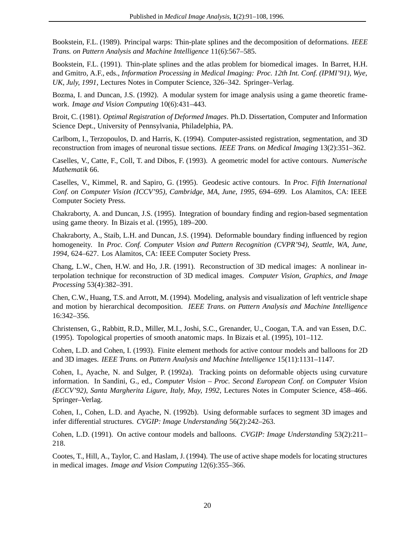Bookstein, F.L. (1989). Principal warps: Thin-plate splines and the decomposition of deformations. *IEEE Trans. on Pattern Analysis and Machine Intelligence* 11(6):567–585.

Bookstein, F.L. (1991). Thin-plate splines and the atlas problem for biomedical images. In Barret, H.H. and Gmitro, A.F., eds., *Information Processing in Medical Imaging: Proc. 12th Int. Conf. (IPMI'91), Wye, UK, July, 1991*, Lectures Notes in Computer Science, 326–342. Springer–Verlag.

Bozma, I. and Duncan, J.S. (1992). A modular system for image analysis using a game theoretic framework. *Image and Vision Computing* 10(6):431–443.

Broit, C. (1981). *Optimal Registration of Deformed Images*. Ph.D. Dissertation, Computer and Information Science Dept., University of Pennsylvania, Philadelphia, PA.

Carlbom, I., Terzopoulos, D. and Harris, K. (1994). Computer-assisted registration, segmentation, and 3D reconstruction from images of neuronal tissue sections. *IEEE Trans. on Medical Imaging* 13(2):351–362.

Caselles, V., Catte, F., Coll, T. and Dibos, F. (1993). A geometric model for active contours. *Numerische Mathematik* 66.

Caselles, V., Kimmel, R. and Sapiro, G. (1995). Geodesic active contours. In *Proc. Fifth International Conf. on Computer Vision (ICCV'95), Cambridge, MA, June, 1995*, 694–699. Los Alamitos, CA: IEEE Computer Society Press.

Chakraborty, A. and Duncan, J.S. (1995). Integration of boundary finding and region-based segmentation using game theory. In Bizais et al. (1995), 189–200.

Chakraborty, A., Staib, L.H. and Duncan, J.S. (1994). Deformable boundary finding influenced by region homogeneity. In *Proc. Conf. Computer Vision and Pattern Recognition (CVPR'94), Seattle, WA, June, 1994*, 624–627. Los Alamitos, CA: IEEE Computer Society Press.

Chang, L.W., Chen, H.W. and Ho, J.R. (1991). Reconstruction of 3D medical images: A nonlinear interpolation technique for reconstruction of 3D medical images. *Computer Vision, Graphics, and Image Processing* 53(4):382–391.

Chen, C.W., Huang, T.S. and Arrott, M. (1994). Modeling, analysis and visualization of left ventricle shape and motion by hierarchical decomposition. *IEEE Trans. on Pattern Analysis and Machine Intelligence* 16:342–356.

Christensen, G., Rabbitt, R.D., Miller, M.I., Joshi, S.C., Grenander, U., Coogan, T.A. and van Essen, D.C. (1995). Topological properties of smooth anatomic maps. In Bizais et al. (1995), 101–112.

Cohen, L.D. and Cohen, I. (1993). Finite element methods for active contour models and balloons for 2D and 3D images. *IEEE Trans. on Pattern Analysis and Machine Intelligence* 15(11):1131–1147.

Cohen, I., Ayache, N. and Sulger, P. (1992a). Tracking points on deformable objects using curvature information. In Sandini, G., ed., *Computer Vision – Proc. Second European Conf. on Computer Vision (ECCV'92), Santa Margherita Ligure, Italy, May, 1992*, Lectures Notes in Computer Science, 458–466. Springer–Verlag.

Cohen, I., Cohen, L.D. and Ayache, N. (1992b). Using deformable surfaces to segment 3D images and infer differential structures. *CVGIP: Image Understanding* 56(2):242–263.

Cohen, L.D. (1991). On active contour models and balloons. *CVGIP: Image Understanding* 53(2):211– 218.

Cootes, T., Hill, A., Taylor, C. and Haslam, J. (1994). The use of active shape models for locating structures in medical images. *Image and Vision Computing* 12(6):355–366.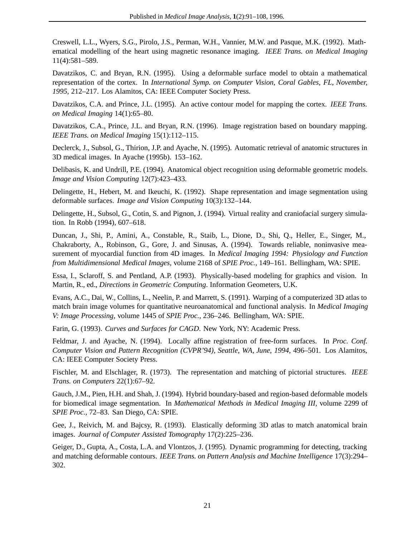Creswell, L.L., Wyers, S.G., Pirolo, J.S., Perman, W.H., Vannier, M.W. and Pasque, M.K. (1992). Mathematical modelling of the heart using magnetic resonance imaging. *IEEE Trans. on Medical Imaging* 11(4):581–589.

Davatzikos, C. and Bryan, R.N. (1995). Using a deformable surface model to obtain a mathematical representation of the cortex. In *International Symp. on Computer Vision, Coral Gables, FL, November, 1995*, 212–217. Los Alamitos, CA: IEEE Computer Society Press.

Davatzikos, C.A. and Prince, J.L. (1995). An active contour model for mapping the cortex. *IEEE Trans. on Medical Imaging* 14(1):65–80.

Davatzikos, C.A., Prince, J.L. and Bryan, R.N. (1996). Image registration based on boundary mapping. *IEEE Trans. on Medical Imaging* 15(1):112–115.

Declerck, J., Subsol, G., Thirion, J.P. and Ayache, N. (1995). Automatic retrieval of anatomic structures in 3D medical images. In Ayache (1995b). 153–162.

Delibasis, K. and Undrill, P.E. (1994). Anatomical object recognition using deformable geometric models. *Image and Vision Computing* 12(7):423–433.

Delingette, H., Hebert, M. and Ikeuchi, K. (1992). Shape representation and image segmentation using deformable surfaces. *Image and Vision Computing* 10(3):132–144.

Delingette, H., Subsol, G., Cotin, S. and Pignon, J. (1994). Virtual reality and craniofacial surgery simulation. In Robb (1994), 607–618.

Duncan, J., Shi, P., Amini, A., Constable, R., Staib, L., Dione, D., Shi, Q., Heller, E., Singer, M., Chakraborty, A., Robinson, G., Gore, J. and Sinusas, A. (1994). Towards reliable, noninvasive measurement of myocardial function from 4D images. In *Medical Imaging 1994: Physiology and Function from Multidimensional Medical Images*, volume 2168 of *SPIE Proc.*, 149–161. Bellingham, WA: SPIE.

Essa, I., Sclaroff, S. and Pentland, A.P. (1993). Physically-based modeling for graphics and vision. In Martin, R., ed., *Directions in Geometric Computing*. Information Geometers, U.K.

Evans, A.C., Dai, W., Collins, L., Neelin, P. and Marrett, S. (1991). Warping of a computerized 3D atlas to match brain image volumes for quantitative neuroanatomical and functional analysis. In *Medical Imaging V: Image Processing*, volume 1445 of *SPIE Proc.*, 236–246. Bellingham, WA: SPIE.

Farin, G. (1993). *Curves and Surfaces for CAGD*. New York, NY: Academic Press.

Feldmar, J. and Ayache, N. (1994). Locally affine registration of free-form surfaces. In *Proc. Conf. Computer Vision and Pattern Recognition (CVPR'94), Seattle, WA, June, 1994*, 496–501. Los Alamitos, CA: IEEE Computer Society Press.

Fischler, M. and Elschlager, R. (1973). The representation and matching of pictorial structures. *IEEE Trans. on Computers* 22(1):67–92.

Gauch, J.M., Pien, H.H. and Shah, J. (1994). Hybrid boundary-based and region-based deformable models for biomedical image segmentation. In *Mathematical Methods in Medical Imaging III*, volume 2299 of *SPIE Proc.*, 72–83. San Diego, CA: SPIE.

Gee, J., Reivich, M. and Bajcsy, R. (1993). Elastically deforming 3D atlas to match anatomical brain images. *Journal of Computer Assisted Tomography* 17(2):225–236.

Geiger, D., Gupta, A., Costa, L.A. and Vlontzos, J. (1995). Dynamic programming for detecting, tracking and matching deformable contours. *IEEE Trans. on Pattern Analysis and Machine Intelligence* 17(3):294– 302.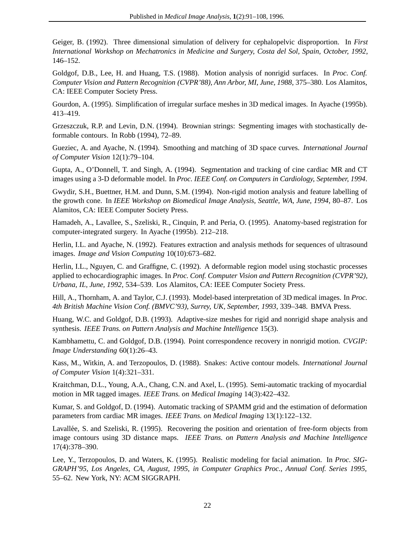Geiger, B. (1992). Three dimensional simulation of delivery for cephalopelvic disproportion. In *First International Workshop on Mechatronics in Medicine and Surgery, Costa del Sol, Spain, October, 1992*, 146–152.

Goldgof, D.B., Lee, H. and Huang, T.S. (1988). Motion analysis of nonrigid surfaces. In *Proc. Conf. Computer Vision and Pattern Recognition (CVPR'88), Ann Arbor, MI, June, 1988*, 375–380. Los Alamitos, CA: IEEE Computer Society Press.

Gourdon, A. (1995). Simplification of irregular surface meshes in 3D medical images. In Ayache (1995b). 413–419.

Grzeszczuk, R.P. and Levin, D.N. (1994). Brownian strings: Segmenting images with stochastically deformable contours. In Robb (1994), 72–89.

Gueziec, A. and Ayache, N. (1994). Smoothing and matching of 3D space curves. *International Journal of Computer Vision* 12(1):79–104.

Gupta, A., O'Donnell, T. and Singh, A. (1994). Segmentation and tracking of cine cardiac MR and CT images using a 3-D deformable model. In *Proc. IEEE Conf. on Computers in Cardiology, September, 1994*.

Gwydir, S.H., Buettner, H.M. and Dunn, S.M. (1994). Non-rigid motion analysis and feature labelling of the growth cone. In *IEEE Workshop on Biomedical Image Analysis, Seattle, WA, June, 1994*, 80–87. Los Alamitos, CA: IEEE Computer Society Press.

Hamadeh, A., Lavallee, S., Szeliski, R., Cinquin, P. and Peria, O. (1995). Anatomy-based registration for computer-integrated surgery. In Ayache (1995b). 212–218.

Herlin, I.L. and Ayache, N. (1992). Features extraction and analysis methods for sequences of ultrasound images. *Image and Vision Computing* 10(10):673–682.

Herlin, I.L., Nguyen, C. and Graffigne, C. (1992). A deformable region model using stochastic processes applied to echocardiographic images. In *Proc. Conf. Computer Vision and Pattern Recognition (CVPR'92), Urbana, IL, June, 1992*, 534–539. Los Alamitos, CA: IEEE Computer Society Press.

Hill, A., Thornham, A. and Taylor, C.J. (1993). Model-based interpretation of 3D medical images. In *Proc. 4th British Machine Vision Conf. (BMVC'93), Surrey, UK, September, 1993*, 339–348. BMVA Press.

Huang, W.C. and Goldgof, D.B. (1993). Adaptive-size meshes for rigid and nonrigid shape analysis and synthesis. *IEEE Trans. on Pattern Analysis and Machine Intelligence* 15(3).

Kambhamettu, C. and Goldgof, D.B. (1994). Point correspondence recovery in nonrigid motion. *CVGIP: Image Understanding* 60(1):26–43.

Kass, M., Witkin, A. and Terzopoulos, D. (1988). Snakes: Active contour models. *International Journal of Computer Vision* 1(4):321–331.

Kraitchman, D.L., Young, A.A., Chang, C.N. and Axel, L. (1995). Semi-automatic tracking of myocardial motion in MR tagged images. *IEEE Trans. on Medical Imaging* 14(3):422–432.

Kumar, S. and Goldgof, D. (1994). Automatic tracking of SPAMM grid and the estimation of deformation parameters from cardiac MR images. *IEEE Trans. on Medical Imaging* 13(1):122–132.

Lavallée, S. and Szeliski, R. (1995). Recovering the position and orientation of free-form objects from image contours using 3D distance maps. *IEEE Trans. on Pattern Analysis and Machine Intelligence* 17(4):378–390.

Lee, Y., Terzopoulos, D. and Waters, K. (1995). Realistic modeling for facial animation. In *Proc. SIG-GRAPH'95, Los Angeles, CA, August, 1995, in Computer Graphics Proc., Annual Conf. Series 1995*, 55–62. New York, NY: ACM SIGGRAPH.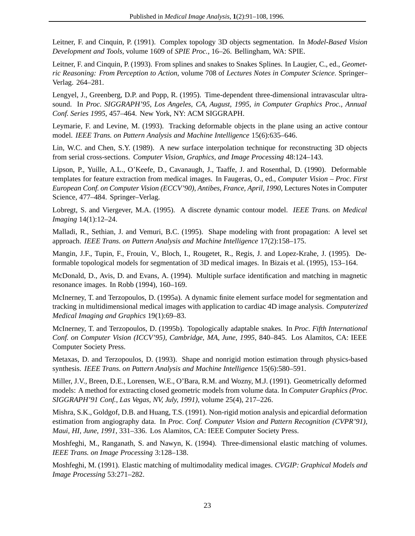Leitner, F. and Cinquin, P. (1991). Complex topology 3D objects segmentation. In *Model-Based Vision Development and Tools*, volume 1609 of *SPIE Proc.*, 16–26. Bellingham, WA: SPIE.

Leitner, F. and Cinquin, P. (1993). From splines and snakes to Snakes Splines. In Laugier, C., ed., *Geometric Reasoning: From Perception to Action*, volume 708 of *Lectures Notes in Computer Science*. Springer– Verlag. 264–281.

Lengyel, J., Greenberg, D.P. and Popp, R. (1995). Time-dependent three-dimensional intravascular ultrasound. In *Proc. SIGGRAPH'95, Los Angeles, CA, August, 1995, in Computer Graphics Proc., Annual Conf. Series 1995*, 457–464. New York, NY: ACM SIGGRAPH.

Leymarie, F. and Levine, M. (1993). Tracking deformable objects in the plane using an active contour model. *IEEE Trans. on Pattern Analysis and Machine Intelligence* 15(6):635–646.

Lin, W.C. and Chen, S.Y. (1989). A new surface interpolation technique for reconstructing 3D objects from serial cross-sections. *Computer Vision, Graphics, and Image Processing* 48:124–143.

Lipson, P., Yuille, A.L., O'Keefe, D., Cavanaugh, J., Taaffe, J. and Rosenthal, D. (1990). Deformable templates for feature extraction from medical images. In Faugeras, O., ed., *Computer Vision – Proc. First European Conf. on Computer Vision (ECCV'90), Antibes, France, April, 1990*, Lectures Notes in Computer Science, 477–484. Springer–Verlag.

Lobregt, S. and Viergever, M.A. (1995). A discrete dynamic contour model. *IEEE Trans. on Medical Imaging* 14(1):12–24.

Malladi, R., Sethian, J. and Vemuri, B.C. (1995). Shape modeling with front propagation: A level set approach. *IEEE Trans. on Pattern Analysis and Machine Intelligence* 17(2):158–175.

Mangin, J.F., Tupin, F., Frouin, V., Bloch, I., Rougetet, R., Regis, J. and Lopez-Krahe, J. (1995). Deformable topological models for segmentation of 3D medical images. In Bizais et al. (1995), 153–164.

McDonald, D., Avis, D. and Evans, A. (1994). Multiple surface identification and matching in magnetic resonance images. In Robb (1994), 160–169.

McInerney, T. and Terzopoulos, D. (1995a). A dynamic finite element surface model for segmentation and tracking in multidimensional medical images with application to cardiac 4D image analysis. *Computerized Medical Imaging and Graphics* 19(1):69–83.

McInerney, T. and Terzopoulos, D. (1995b). Topologically adaptable snakes. In *Proc. Fifth International Conf. on Computer Vision (ICCV'95), Cambridge, MA, June, 1995*, 840–845. Los Alamitos, CA: IEEE Computer Society Press.

Metaxas, D. and Terzopoulos, D. (1993). Shape and nonrigid motion estimation through physics-based synthesis. *IEEE Trans. on Pattern Analysis and Machine Intelligence* 15(6):580–591.

Miller, J.V., Breen, D.E., Lorensen, W.E., O'Bara, R.M. and Wozny, M.J. (1991). Geometrically deformed models: A method for extracting closed geometric models from volume data. In *Computer Graphics (Proc. SIGGRAPH'91 Conf., Las Vegas, NV, July, 1991)*, volume 25(4), 217–226.

Mishra, S.K., Goldgof, D.B. and Huang, T.S. (1991). Non-rigid motion analysis and epicardial deformation estimation from angiography data. In *Proc. Conf. Computer Vision and Pattern Recognition (CVPR'91), Maui, HI, June, 1991*, 331–336. Los Alamitos, CA: IEEE Computer Society Press.

Moshfeghi, M., Ranganath, S. and Nawyn, K. (1994). Three-dimensional elastic matching of volumes. *IEEE Trans. on Image Processing* 3:128–138.

Moshfeghi, M. (1991). Elastic matching of multimodality medical images. *CVGIP: Graphical Models and Image Processing* 53:271–282.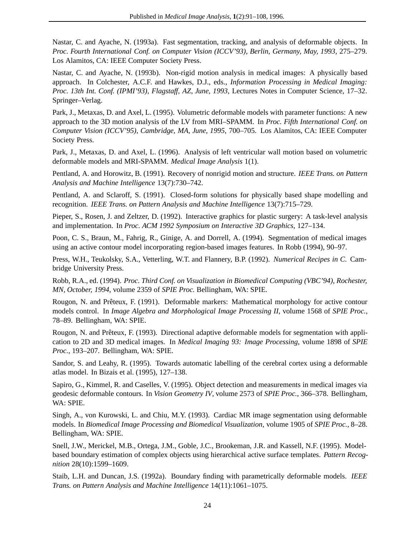Nastar, C. and Ayache, N. (1993a). Fast segmentation, tracking, and analysis of deformable objects. In *Proc. Fourth International Conf. on Computer Vision (ICCV'93), Berlin, Germany, May, 1993*, 275–279. Los Alamitos, CA: IEEE Computer Society Press.

Nastar, C. and Ayache, N. (1993b). Non-rigid motion analysis in medical images: A physically based approach. In Colchester, A.C.F. and Hawkes, D.J., eds., *Information Processing in Medical Imaging: Proc. 13th Int. Conf. (IPMI'93), Flagstaff, AZ, June, 1993*, Lectures Notes in Computer Science, 17–32. Springer–Verlag.

Park, J., Metaxas, D. and Axel, L. (1995). Volumetric deformable models with parameter functions: A new approach to the 3D motion analysis of the LV from MRI–SPAMM. In *Proc. Fifth International Conf. on Computer Vision (ICCV'95), Cambridge, MA, June, 1995*, 700–705. Los Alamitos, CA: IEEE Computer Society Press.

Park, J., Metaxas, D. and Axel, L. (1996). Analysis of left ventricular wall motion based on volumetric deformable models and MRI-SPAMM. *Medical Image Analysis* 1(1).

Pentland, A. and Horowitz, B. (1991). Recovery of nonrigid motion and structure. *IEEE Trans. on Pattern Analysis and Machine Intelligence* 13(7):730–742.

Pentland, A. and Sclaroff, S. (1991). Closed-form solutions for physically based shape modelling and recognition. *IEEE Trans. on Pattern Analysis and Machine Intelligence* 13(7):715–729.

Pieper, S., Rosen, J. and Zeltzer, D. (1992). Interactive graphics for plastic surgery: A task-level analysis and implementation. In *Proc. ACM 1992 Symposium on Interactive 3D Graphics*, 127–134.

Poon, C. S., Braun, M., Fahrig, R., Ginige, A. and Dorrell, A. (1994). Segmentation of medical images using an active contour model incorporating region-based images features. In Robb (1994), 90–97.

Press, W.H., Teukolsky, S.A., Vetterling, W.T. and Flannery, B.P. (1992). *Numerical Recipes in C*. Cambridge University Press.

Robb, R.A., ed. (1994). *Proc. Third Conf. on Visualization in Biomedical Computing (VBC'94), Rochester, MN, October, 1994*, volume 2359 of *SPIE Proc.* Bellingham, WA: SPIE.

Rougon, N. and Prêteux, F. (1991). Deformable markers: Mathematical morphology for active contour models control. In *Image Algebra and Morphological Image Processing II*, volume 1568 of *SPIE Proc.*, 78–89. Bellingham, WA: SPIE.

Rougon, N. and Prêteux, F. (1993). Directional adaptive deformable models for segmentation with application to 2D and 3D medical images. In *Medical Imaging 93: Image Processing*, volume 1898 of *SPIE Proc.*, 193–207. Bellingham, WA: SPIE.

Sandor, S. and Leahy, R. (1995). Towards automatic labelling of the cerebral cortex using a deformable atlas model. In Bizais et al. (1995), 127–138.

Sapiro, G., Kimmel, R. and Caselles, V. (1995). Object detection and measurements in medical images via geodesic deformable contours. In *Vision Geometry IV*, volume 2573 of *SPIE Proc.*, 366–378. Bellingham, WA: SPIE.

Singh, A., von Kurowski, L. and Chiu, M.Y. (1993). Cardiac MR image segmentation using deformable models. In *Biomedical Image Processing and Biomedical Visualization*, volume 1905 of *SPIE Proc.*, 8–28. Bellingham, WA: SPIE.

Snell, J.W., Merickel, M.B., Ortega, J.M., Goble, J.C., Brookeman, J.R. and Kassell, N.F. (1995). Modelbased boundary estimation of complex objects using hierarchical active surface templates. *Pattern Recognition* 28(10):1599–1609.

Staib, L.H. and Duncan, J.S. (1992a). Boundary finding with parametrically deformable models. *IEEE Trans. on Pattern Analysis and Machine Intelligence* 14(11):1061–1075.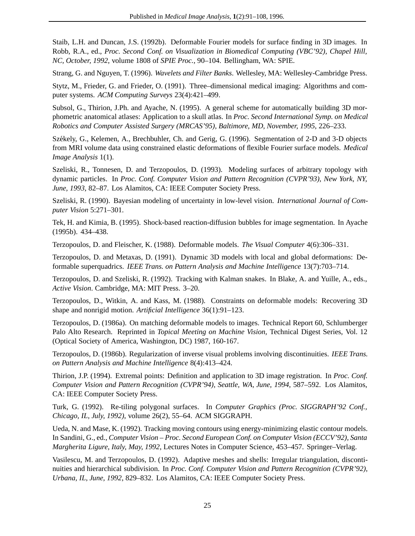Staib, L.H. and Duncan, J.S. (1992b). Deformable Fourier models for surface finding in 3D images. In Robb, R.A., ed., *Proc. Second Conf. on Visualization in Biomedical Computing (VBC'92), Chapel Hill, NC, October, 1992*, volume 1808 of *SPIE Proc.*, 90–104. Bellingham, WA: SPIE.

Strang, G. and Nguyen, T. (1996). *Wavelets and Filter Banks*. Wellesley, MA: Wellesley-Cambridge Press.

Stytz, M., Frieder, G. and Frieder, O. (1991). Three–dimensional medical imaging: Algorithms and computer systems. *ACM Computing Surveys* 23(4):421–499.

Subsol, G., Thirion, J.Ph. and Ayache, N. (1995). A general scheme for automatically building 3D morphometric anatomical atlases: Application to a skull atlas. In *Proc. Second International Symp. on Medical Robotics and Computer Assisted Surgery (MRCAS'95), Baltimore, MD, November, 1995*, 226–233.

Székely, G., Kelemen, A., Brechbuhler, Ch. and Gerig, G. (1996). Segmentation of 2-D and 3-D objects from MRI volume data using constrained elastic deformations of flexible Fourier surface models. *Medical Image Analysis* 1(1).

Szeliski, R., Tonnesen, D. and Terzopoulos, D. (1993). Modeling surfaces of arbitrary topology with dynamic particles. In *Proc. Conf. Computer Vision and Pattern Recognition (CVPR'93), New York, NY, June, 1993*, 82–87. Los Alamitos, CA: IEEE Computer Society Press.

Szeliski, R. (1990). Bayesian modeling of uncertainty in low-level vision. *International Journal of Computer Vision* 5:271–301.

Tek, H. and Kimia, B. (1995). Shock-based reaction-diffusion bubbles for image segmentation. In Ayache (1995b). 434–438.

Terzopoulos, D. and Fleischer, K. (1988). Deformable models. *The Visual Computer* 4(6):306–331.

Terzopoulos, D. and Metaxas, D. (1991). Dynamic 3D models with local and global deformations: Deformable superquadrics. *IEEE Trans. on Pattern Analysis and Machine Intelligence* 13(7):703–714.

Terzopoulos, D. and Szeliski, R. (1992). Tracking with Kalman snakes. In Blake, A. and Yuille, A., eds., *Active Vision*. Cambridge, MA: MIT Press. 3–20.

Terzopoulos, D., Witkin, A. and Kass, M. (1988). Constraints on deformable models: Recovering 3D shape and nonrigid motion. *Artificial Intelligence* 36(1):91–123.

Terzopoulos, D. (1986a). On matching deformable models to images. Technical Report 60, Schlumberger Palo Alto Research. Reprinted in *Topical Meeting on Machine Vision,* Technical Digest Series, Vol. 12 (Optical Society of America, Washington, DC) 1987, 160-167.

Terzopoulos, D. (1986b). Regularization of inverse visual problems involving discontinuities. *IEEE Trans. on Pattern Analysis and Machine Intelligence* 8(4):413–424.

Thirion, J.P. (1994). Extremal points: Definition and application to 3D image registration. In *Proc. Conf. Computer Vision and Pattern Recognition (CVPR'94), Seattle, WA, June, 1994*, 587–592. Los Alamitos, CA: IEEE Computer Society Press.

Turk, G. (1992). Re-tiling polygonal surfaces. In *Computer Graphics (Proc. SIGGRAPH'92 Conf., Chicago, IL, July, 1992)*, volume 26(2), 55–64. ACM SIGGRAPH.

Ueda, N. and Mase, K. (1992). Tracking moving contours using energy-minimizing elastic contour models. In Sandini, G., ed., *Computer Vision – Proc. Second European Conf. on Computer Vision (ECCV'92), Santa Margherita Ligure, Italy, May, 1992*, Lectures Notes in Computer Science, 453–457. Springer–Verlag.

Vasilescu, M. and Terzopoulos, D. (1992). Adaptive meshes and shells: Irregular triangulation, discontinuities and hierarchical subdivision. In *Proc. Conf. Computer Vision and Pattern Recognition (CVPR'92), Urbana, IL, June, 1992*, 829–832. Los Alamitos, CA: IEEE Computer Society Press.